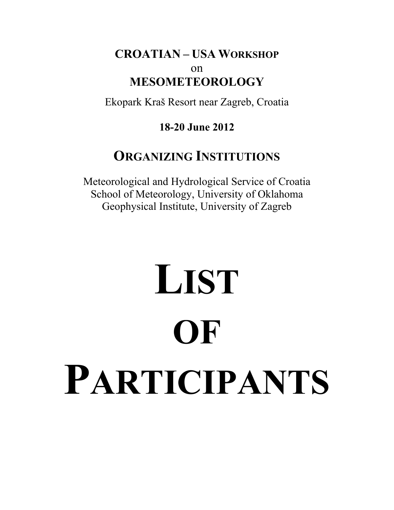## **CROATIAN – USA WORKSHOP** on **MESOMETEOROLOGY**

Ekopark Kraš Resort near Zagreb, Croatia

## **18-20 June 2012**

## **ORGANIZING INSTITUTIONS**

Meteorological and Hydrological Service of Croatia School of Meteorology, University of Oklahoma Geophysical Institute, University of Zagreb

# **LIST OF PARTICIPANTS**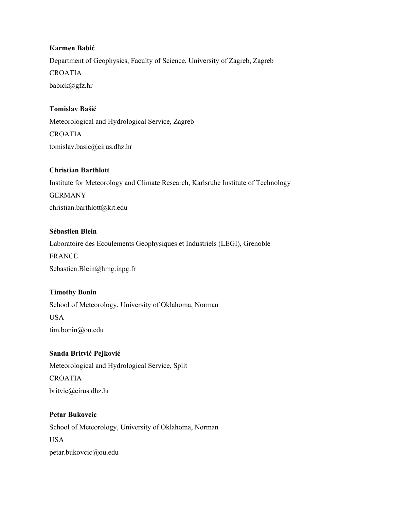#### **Karmen Babić**

Department of Geophysics, Faculty of Science, University of Zagreb, Zagreb CROATIA babick@gfz.hr

#### **Tomislav Bašić**

Meteorological and Hydrological Service, Zagreb CROATIA tomislav.basic@cirus.dhz.hr

#### **Christian Barthlott**

Institute for Meteorology and Climate Research, Karlsruhe Institute of Technology GERMANY christian.barthlott@kit.edu

#### **Sébastien Blein**

Laboratoire des Ecoulements Geophysiques et Industriels (LEGI), Grenoble FRANCE Sebastien.Blein@hmg.inpg.fr

#### **Timothy Bonin**

School of Meteorology, University of Oklahoma, Norman USA tim.bonin@ou.edu

#### **Sanda Britvić Pejković**

Meteorological and Hydrological Service, Split CROATIA britvic@cirus.dhz.hr

## **Petar Bukovcic**  School of Meteorology, University of Oklahoma, Norman USA petar.bukovcic@ou.edu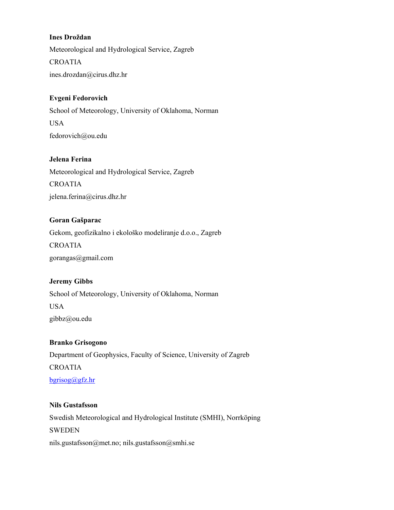#### **Ines Droždan**

Meteorological and Hydrological Service, Zagreb CROATIA ines.drozdan@cirus.dhz.hr

#### **Evgeni Fedorovich**

School of Meteorology, University of Oklahoma, Norman USA fedorovich@ou.edu

#### **Jelena Ferina**

Meteorological and Hydrological Service, Zagreb CROATIA jelena.ferina@cirus.dhz.hr

#### **Goran Gašparac**

Gekom, geofizikalno i ekološko modeliranje d.o.o., Zagreb CROATIA gorangas@gmail.com

#### **Jeremy Gibbs**

School of Meteorology, University of Oklahoma, Norman USA gibbz@ou.edu

#### **Branko Grisogono**

Department of Geophysics, Faculty of Science, University of Zagreb CROATIA bgrisog@gfz.hr

#### **Nils Gustafsson**

Swedish Meteorological and Hydrological Institute (SMHI), Norrköping SWEDEN nils.gustafsson@met.no; nils.gustafsson@smhi.se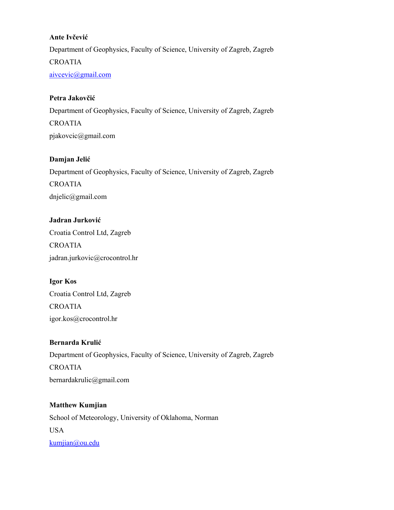#### **Ante Ivčević**

Department of Geophysics, Faculty of Science, University of Zagreb, Zagreb CROATIA aivcevic@gmail.com

#### **Petra Jakovčić**

Department of Geophysics, Faculty of Science, University of Zagreb, Zagreb CROATIA pjakovcic@gmail.com

#### **Damjan Jelić**

Department of Geophysics, Faculty of Science, University of Zagreb, Zagreb CROATIA dnjelic@gmail.com

## **Jadran Jurković** Croatia Control Ltd, Zagreb CROATIA jadran.jurkovic@crocontrol.hr

**Igor Kos**  Croatia Control Ltd, Zagreb CROATIA igor.kos@crocontrol.hr

#### **Bernarda Krulić**

Department of Geophysics, Faculty of Science, University of Zagreb, Zagreb CROATIA bernardakrulic@gmail.com

## **Matthew Kumjian**  School of Meteorology, University of Oklahoma, Norman USA kumjian@ou.edu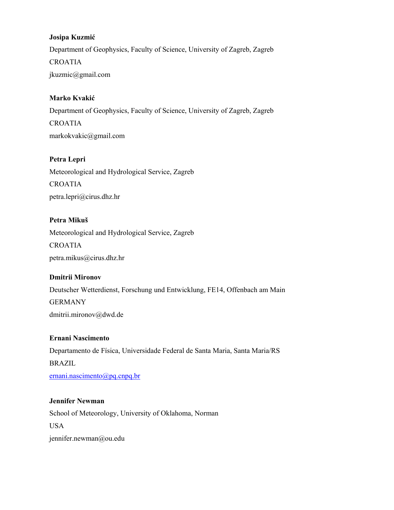#### **Josipa Kuzmić**

Department of Geophysics, Faculty of Science, University of Zagreb, Zagreb CROATIA jkuzmic@gmail.com

#### **Marko Kvakić**

Department of Geophysics, Faculty of Science, University of Zagreb, Zagreb CROATIA markokvakic@gmail.com

#### **Petra Lepri**

Meteorological and Hydrological Service, Zagreb CROATIA petra.lepri@cirus.dhz.hr

#### **Petra Mikuš**

Meteorological and Hydrological Service, Zagreb CROATIA petra.mikus@cirus.dhz.hr

#### **Dmitrii Mironov**

Deutscher Wetterdienst, Forschung und Entwicklung, FE14, Offenbach am Main GERMANY dmitrii.mironov@dwd.de

#### **Ernani Nascimento**

Departamento de Física, Universidade Federal de Santa Maria, Santa Maria/RS BRAZIL ernani.nascimento@pq.cnpq.br

#### **Jennifer Newman**

School of Meteorology, University of Oklahoma, Norman USA jennifer.newman@ou.edu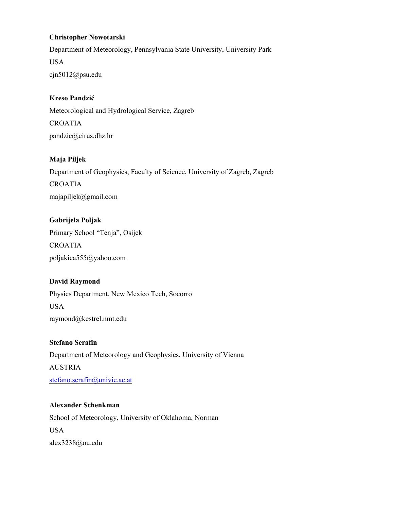#### **Christopher Nowotarski**

Department of Meteorology, Pennsylvania State University, University Park USA cjn5012@psu.edu

#### **Kreso Pandzić**

Meteorological and Hydrological Service, Zagreb CROATIA pandzic@cirus.dhz.hr

#### **Maja Piljek**

Department of Geophysics, Faculty of Science, University of Zagreb, Zagreb CROATIA majapiljek@gmail.com

## **Gabrijela Poljak**  Primary School "Tenja", Osijek CROATIA poljakica555@yahoo.com

#### **David Raymond**

Physics Department, New Mexico Tech, Socorro USA raymond@kestrel.nmt.edu

#### **Stefano Serafin**

Department of Meteorology and Geophysics, University of Vienna AUSTRIA stefano.serafin@univie.ac.at

## **Alexander Schenkman**  School of Meteorology, University of Oklahoma, Norman USA alex3238@ou.edu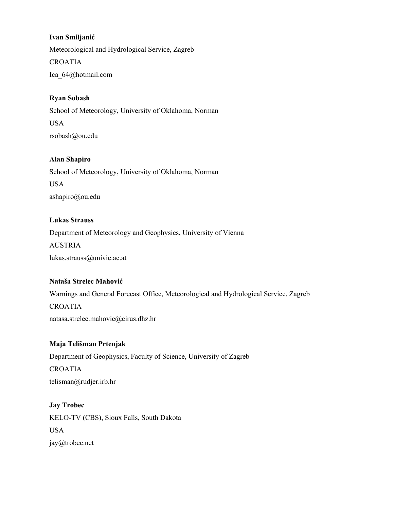#### **Ivan Smiljanić**

Meteorological and Hydrological Service, Zagreb CROATIA Ica\_64@hotmail.com

#### **Ryan Sobash**

School of Meteorology, University of Oklahoma, Norman USA rsobash@ou.edu

#### **Alan Shapiro**

School of Meteorology, University of Oklahoma, Norman USA ashapiro@ou.edu

#### **Lukas Strauss**

Department of Meteorology and Geophysics, University of Vienna AUSTRIA lukas.strauss@univie.ac.at

#### **Nataša Strelec Mahović**

Warnings and General Forecast Office, Meteorological and Hydrological Service, Zagreb CROATIA natasa.strelec.mahovic@cirus.dhz.hr

#### **Maja Telišman Prtenjak**

Department of Geophysics, Faculty of Science, University of Zagreb CROATIA telisman@rudjer.irb.hr

#### **Jay Trobec**

KELO-TV (CBS), Sioux Falls, South Dakota USA jay@trobec.net